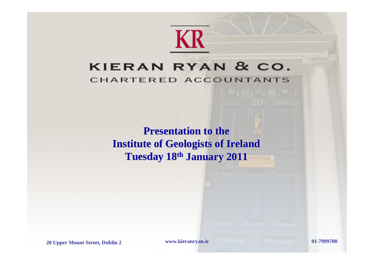# **KR**

#### KIERAN RYAN & CO. CHARTERED ACCOUNTANTS

**Presentation to the Institute of Geologists of Ireland Tuesday 18th January 2011**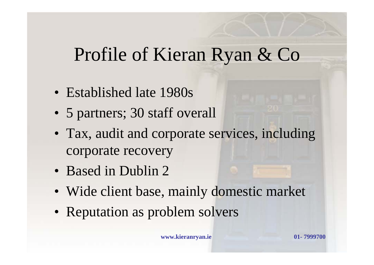#### Profile of Kieran Ryan & Co

- Established late 1980s
- 5 partners; 30 staff overall
- Tax, audit and corporate services, including corporate recovery
- Based in Dublin 2
- Wide client base, mainly domestic market
- Reputation as problem solvers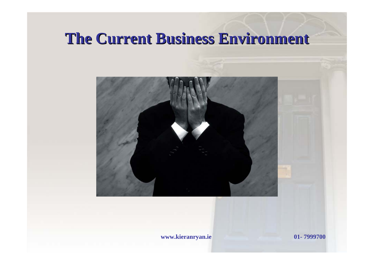#### **The Current Business Environment The Current Business Environment**

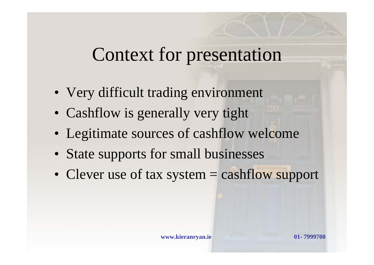#### Context for presentation

- Very difficult trading environment
- Cashflow is generally very tight
- Legitimate sources of cashflow welcome
- State supports for small businesses
- Clever use of tax system = cashflow support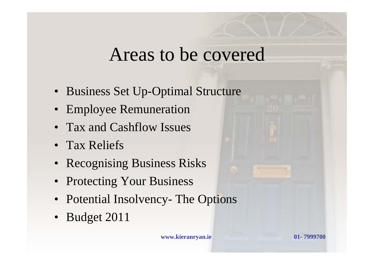#### Areas to be covered

- Business Set Up-Optimal Structure
- Employee Remuneration
- Tax and Cashflow Issues
- Tax Reliefs
- Recognising Business Risks
- Protecting Your Business
- Potential Insolvency- The Options
- Budget 2011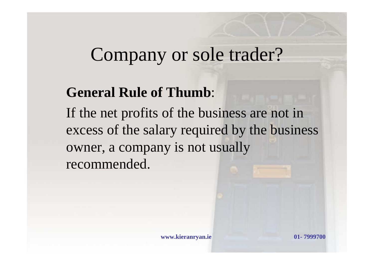#### **General Rule of Thumb**:

If the net profits of the business are not in excess of the salary required by the business owner, a company is not usually recommended.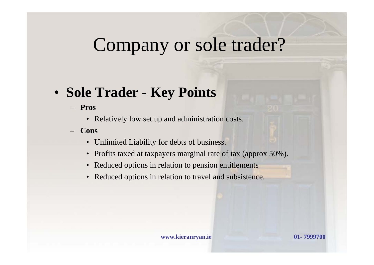#### • **Sole Trader - Key Points**

- **Pros**
	- Relatively low set up and administration costs.
- **Cons**
	- Unlimited Liability for debts of business.
	- Profits taxed at taxpayers marginal rate of tax (approx 50%).
	- Reduced options in relation to pension entitlements
	- Reduced options in relation to travel and subsistence.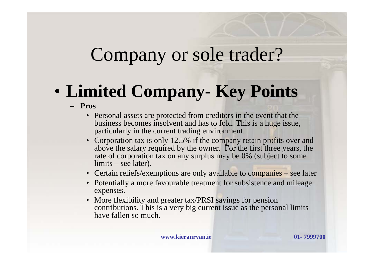#### • **Limited Company- Key Points**

- **Pros**
	- Personal assets are protected from creditors in the event that the business becomes insolvent and has to fold. This is a huge issue, particularly in the current trading environment.
	- Corporation tax is only 12.5% if the company retain profits over and above the salary required by the owner. For the first three years, the rate of corporation tax on any surplus may be 0% (subject to some limits – see later).
	- Certain reliefs/exemptions are only available to companies see later
	- Potentially a more favourable treatment for subsistence and mileage expenses.
	- More flexibility and greater tax/PRSI savings for pension contributions. This is a very big current issue as the personal limits have fallen so much.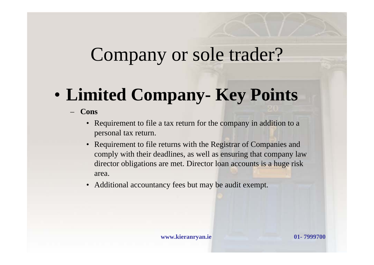#### • **Limited Company- Key Points**

- **Cons**
	- Requirement to file a tax return for the company in addition to a personal tax return.
	- Requirement to file returns with the Registrar of Companies and comply with their deadlines, as well as ensuring that company law director obligations are met. Director loan accounts is a huge risk area.
	- Additional accountancy fees but may be audit exempt.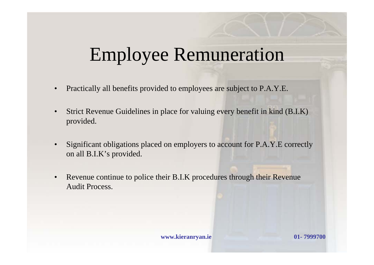# Employee Remuneration

- Practically all benefits provided to employees are subject to P.A.Y.E.
- Strict Revenue Guidelines in place for valuing every benefit in kind (B.I.K) provided.
- Significant obligations placed on employers to account for P.A.Y.E correctly on all B.I.K's provided.
- Revenue continue to police their B.I.K procedures through their Revenue Audit Process.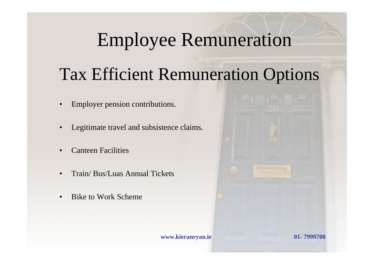#### Employee Remuneration

#### Tax Efficient Remuneration Options

- Employer pension contributions.
- Legitimate travel and subsistence claims.
- Canteen Facilities
- Train/ Bus/Luas Annual Tickets
- Bike to Work Scheme

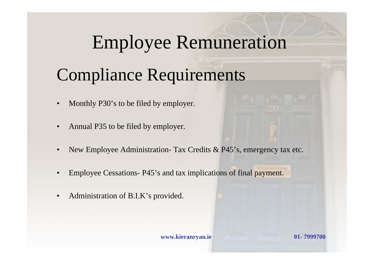#### Employee Remuneration

#### Compliance Requirements

- Monthly P30's to be filed by employer.
- Annual P35 to be filed by employer.
- New Employee Administration- Tax Credits & P45's, emergency tax etc.
- Employee Cessations- P45's and tax implications of final payment.
- Administration of B.I.K's provided.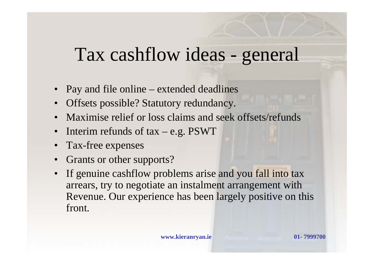#### Tax cashflow ideas - general

- Pay and file online extended deadlines
- Offsets possible? Statutory redundancy.
- Maximise relief or loss claims and seek offsets/refunds
- Interim refunds of tax e.g. PSWT
- Tax-free expenses
- Grants or other supports?
- If genuine cashflow problems arise and you fall into tax arrears, try to negotiate an instalment arrangement with Revenue. Our experience has been largely positive on this front.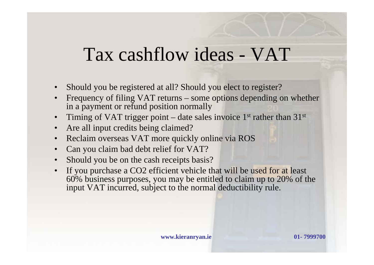#### Tax cashflow ideas - VAT

- Should you be registered at all? Should you elect to register?
- Frequency of filing VAT returns some options depending on whether in a payment or refund position normally
- Timing of VAT trigger point date sales invoice  $1<sup>st</sup>$  rather than  $31<sup>st</sup>$
- Are all input credits being claimed?
- Reclaim overseas VAT more quickly online via ROS
- Can you claim bad debt relief for VAT?
- Should you be on the cash receipts basis?
- If you purchase a CO2 efficient vehicle that will be used for at least 60% business purposes, you may be entitled to claim up to 20% of the input VAT incurred, subject to the normal deductibility rule.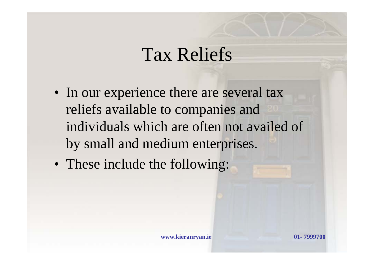#### Tax Reliefs

- In our experience there are several tax reliefs available to companies and individuals which are often not availed of by small and medium enterprises.
- These include the following: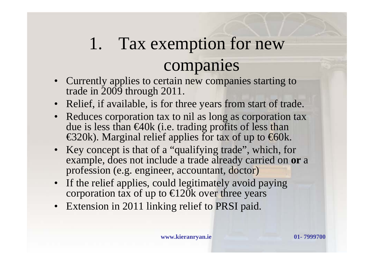# 1. Tax exemption for new companies

- Currently applies to certain new companies starting to trade in 2009 through 2011.
- Relief, if available, is for three years from start of trade.
- Reduces corporation tax to nil as long as corporation tax due is less than €40k (i.e. trading profits of less than  $\epsilon$ 320k). Marginal relief applies for tax of up to  $\epsilon$ 60k.
- Key concept is that of a "qualifying trade", which, for example, does not include a trade already carried on **or** <sup>a</sup> profession (e.g. engineer, accountant, doctor)
- If the relief applies, could legitimately avoid paying corporation tax of up to  $\in$  20k over three years
- Extension in 2011 linking relief to PRSI paid.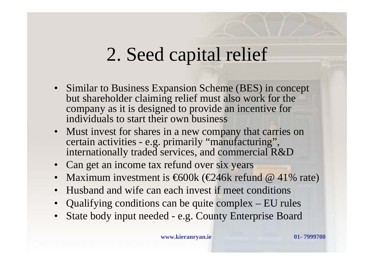# 2. Seed capital relief

- Similar to Business Expansion Scheme (BES) in concept but shareholder claiming relief must also work for the company as it is designed to provide an incentive for individuals to start their own business
- Must invest for shares in a new company that carries on certain activities - e.g. primarily "manufacturing", internationally traded services, and commercial R&D
- Can get an income tax refund over six years
- Maximum investment is  $\bigoplus 00k$  ( $\bigoplus 46k$  refund @ 41% rate)
- Husband and wife can each invest if meet conditions
- Qualifying conditions can be quite complex EU rules
- State body input needed e.g. County Enterprise Board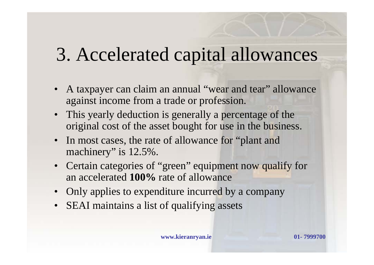### 3. Accelerated capital allowances

- A taxpayer can claim an annual "wear and tear" allowance against income from a trade or profession.
- This yearly deduction is generally a percentage of the original cost of the asset bought for use in the business.
- In most cases, the rate of allowance for "plant and machinery" is  $12.5\%$ .
- Certain categories of "green" equipment now qualify for an accelerated **100%** rate of allowance
- Only applies to expenditure incurred by a company
- SEAI maintains a list of qualifying assets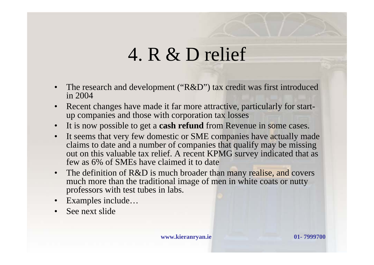- The research and development ("R&D") tax credit was first introduced in 2004
- Recent changes have made it far more attractive, particularly for startup companies and those with corporation tax losses
- It is now possible to get a **cash refund** from Revenue in some cases.
- It seems that very few domestic or SME companies have actually made claims to date and a number of companies that qualify may be missing out on this valuable tax relief. A recent KPMG survey indicated that as few as 6% of SMEs have claimed it to date
- The definition of R&D is much broader than many realise, and covers much more than the traditional image of men in white coats or nutty professors with test tubes in labs.
- Examples include...
- See next slide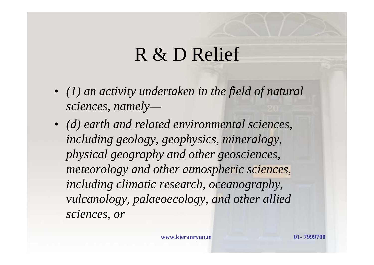- *(1) an activity undertaken in the field of natural sciences, namely—*
- *(d) earth and related environmental sciences, including geology, geophysics, mineralogy, physical geography and other geosciences, meteorology and other atmospheric sciences, including climatic research, oceanography, vulcanology, palaeoecology, and other allied sciences, or*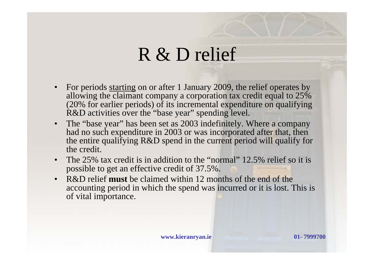- For periods starting on or after 1 January 2009, the relief operates by allowing the claimant company a corporation tax credit equal to 25% (20% for earlier periods) of its incremental expenditure on qualifying R&D activities over the "base year" spending level.
- The "base year" has been set as 2003 indefinitely. Where a company had no such expenditure in 2003 or was incorporated after that, then the entire qualifying R&D spend in the current period will qualify for the credit.
- The 25% tax credit is in addition to the "normal" 12.5% relief so it is possible to get an effective credit of 37.5%.
- R&D relief **must** be claimed within 12 months of the end of the accounting period in which the spend was incurred or it is lost. This is of vital importance.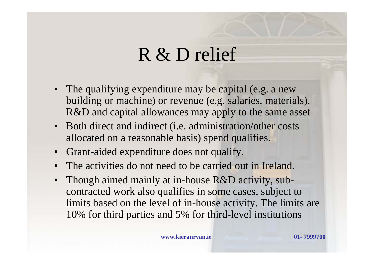- The qualifying expenditure may be capital (e.g. a new building or machine) or revenue (e.g. salaries, materials). R&D and capital allowances may apply to the same asset
- Both direct and indirect (i.e. administration/other costs allocated on a reasonable basis) spend qualifies.
- Grant-aided expenditure does not qualify.
- The activities do not need to be carried out in Ireland.
- Though aimed mainly at in-house R&D activity, subcontracted work also qualifies in some cases, subject to limits based on the level of in-house activity. The limits are 10% for third parties and 5% for third-level institutions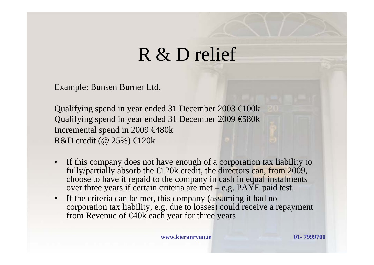Example: Bunsen Burner Ltd.

Qualifying spend in year ended 31 December 2003  $\bigoplus$  00k Qualifying spend in year ended 31 December 2009 €580k Incremental spend in 2009 €480k R&D credit ( $@ 25\%$ )  $\bigoplus 20k$ 

- If this company does not have enough of a corporation tax liability to fully/partially absorb the  $\in$  20k credit, the directors can, from 2009, choose to have it repaid to the company in cash in equal instalments over three years if certain criteria are met – e.g. PAYE paid test.
- If the criteria can be met, this company (assuming it had no corporation tax liability, e.g. due to losses) could receive a repayment from Revenue of  $640k$  each year for three years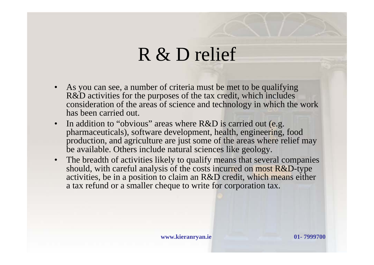- As you can see, a number of criteria must be met to be qualifying R&D activities for the purposes of the tax credit, which includes consideration of the areas of science and technology in which the work has been carried out.
- In addition to "obvious" areas where R&D is carried out (e.g. pharmaceuticals), software development, health, engineering, food production, and agriculture are just some of the areas where relief may be available. Others include natural sciences like geology.
- The breadth of activities likely to qualify means that several companies should, with careful analysis of the costs incurred on most R&D-type activities, be in a position to claim an R&D credit, which means either a tax refund or a smaller cheque to write for corporation tax.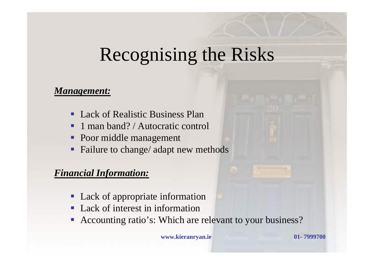#### Recognising the Risks

#### *Management:*

- $\blacksquare$ Lack of Realistic Business Plan
- $\blacksquare$ 1 man band? / Autocratic control
- $\blacksquare$ Poor middle management
- T Failure to change/ adapt new methods

#### *Financial Information:*

- Lack of appropriate information
- Lack of interest in information
- **Accounting ratio's: Which are relevant to your business?**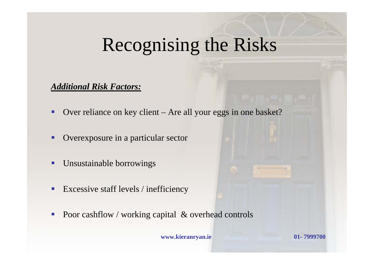### Recognising the Risks

#### *Additional Risk Factors:*

- $\blacksquare$ Over reliance on key client – Are all your eggs in one basket?
- п Overexposure in a particular sector
- $\blacksquare$ Unsustainable borrowings
- $\blacksquare$ Excessive staff levels / inefficiency
- $\mathcal{C}^{\mathcal{A}}$ Poor cashflow / working capital & overhead controls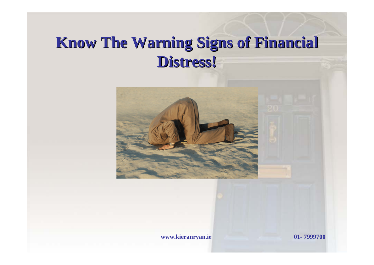#### **Know The Warning Signs of Financial Know The Warning Signs of Financial Distress! Distress!**

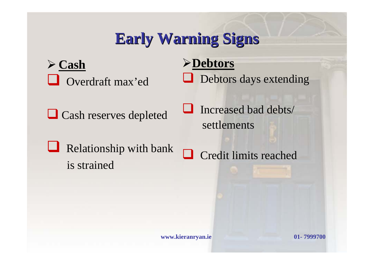#### **Early Warning Signs Early Warning Signs**

¾ **Cash** Overdraft max'ed

**Q** Cash reserves depleted

 $\Box$  Relationship with bank is strained

¾**Debtors** Debtors days extending

 $\Box$  Increased bad debts/ settlements

Credit limits reached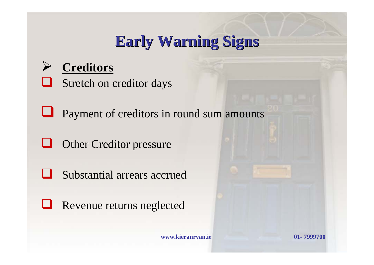#### **Early Warning Signs Early Warning Signs**

#### ¾ **Creditors**

Stretch on creditor days

**Q** Payment of creditors in round sum amounts

u Other Creditor pressure

 $\Box$ Substantial arrears accrued

**Revenue returns neglected**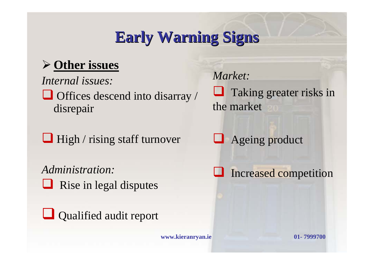#### **Early Warning Signs Early Warning Signs**

#### ¾ **Other issues**

*Internal issues:* 

 $\Box$  Offices descend into disarray / disrepair

 $\Box$  High / rising staff turnover

*Administration:* $\Box$  Rise in legal disputes

Qualified audit report

**www.kieranryan.ie 01- 7999700**

*Market:*

**Taking greater risks in** the market

**Ageing product** 

**Increased competition**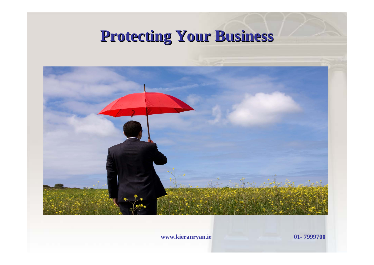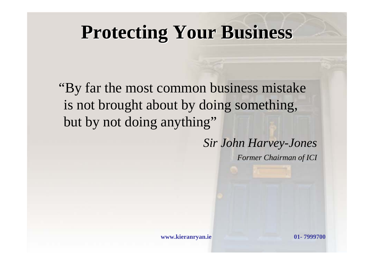"By far the most common business mistake is not brought about by doing something, but by not doing anything"

> *Sir John Harvey-Jones Former Chairman of ICI*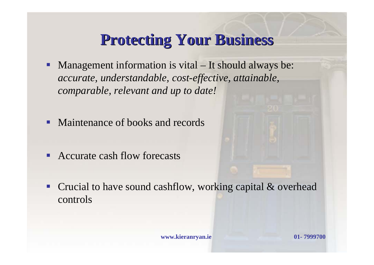- П Management information is vital – It should always be: *accurate, understandable, cost-effective, attainable, comparable, relevant and up to date!*
- $\blacksquare$ Maintenance of books and records
- $\blacksquare$ Accurate cash flow forecasts

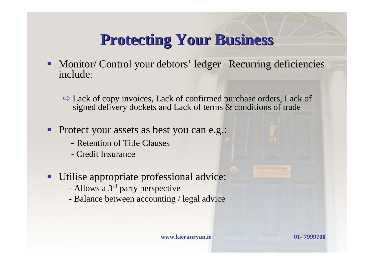Monitor/ Control your debtors' ledger –Recurring deficiencies include:

 $\Rightarrow$  Lack of copy invoices, Lack of confirmed purchase orders, Lack of signed delivery dockets and Lack of terms & conditions of trade

- $\blacksquare$  Protect your assets as best you can e.g.:
	- Retention of Title Clauses
	- Credit Insurance
- Utilise appropriate professional advice:
	- -Allows a 3<sup>rd</sup> party perspective
	- Balance between accounting / legal advice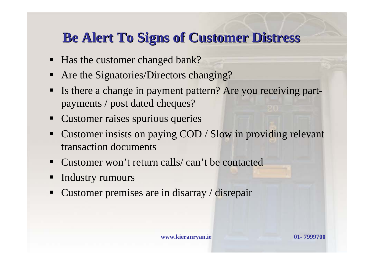#### **Be Alert To Signs of Customer Distress Be Alert To Signs of Customer Distress**

- Has the customer changed bank?
- $\blacksquare$ Are the Signatories/Directors changing?
- $\blacksquare$  Is there a change in payment pattern? Are you receiving partpayments / post dated cheques?
- $\blacksquare$ Customer raises spurious queries
- $\blacksquare$  Customer insists on paying COD / Slow in providing relevant transaction documents
- $\blacksquare$ Customer won't return calls/ can't be contacted
- $\blacksquare$ Industry rumours
- $\blacksquare$ Customer premises are in disarray / disrepair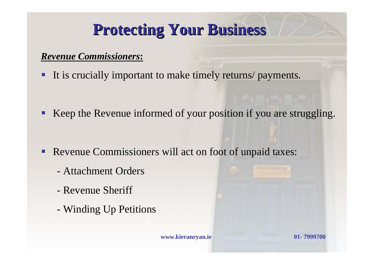#### *Revenue Commissioners***:**

It is crucially important to make timely returns/ payments.

F Keep the Revenue informed of your position if you are struggling.

- $\blacksquare$  Revenue Commissioners will act on foot of unpaid taxes:
	- Attachment Orders
	- Revenue Sheriff
	- Winding Up Petitions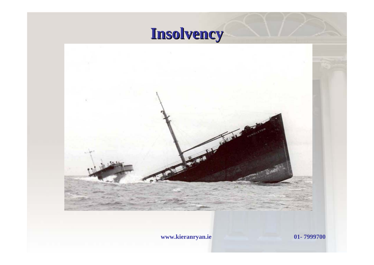

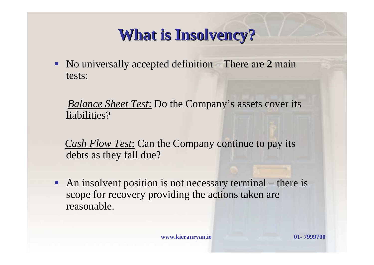#### **What is Insolvency? What is Insolvency?**

 $\blacksquare$  No universally accepted definition – There are **2** main tests:

*Balance Sheet Test*: Do the Company's assets cover its liabilities?

*Cash Flow Test*: Can the Company continue to pay its debts as they fall due?

 $\blacksquare$  An insolvent position is not necessary terminal – there is scope for recovery providing the actions taken are reasonable.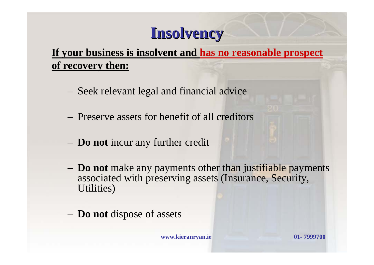#### **Insolvency Insolvency**

#### **If your business is insolvent and has no reasonable prospect of recovery then:**

- Seek relevant legal and financial advice
- Preserve assets for benefit of all creditors
- **Do not** incur any further credit
- **Do not** make any payments other than justifiable payments associated with preserving assets (Insurance, Security, Utilities)
- **Do not** dispose of assets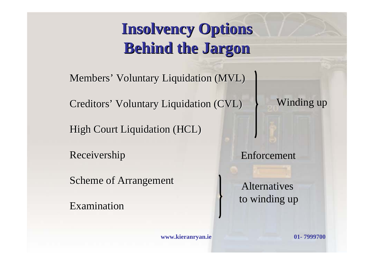#### **Insolvency Options Insolvency Options Behind the Jargon**

Members' Voluntary Liquidation (MVL)

Creditors' Voluntary Liquidation (CVL)

High Court Liquidation (HCL)

Receivership Receivership

Scheme of Arrangement

Examination

Winding up

Enforcement

Alternatives to winding up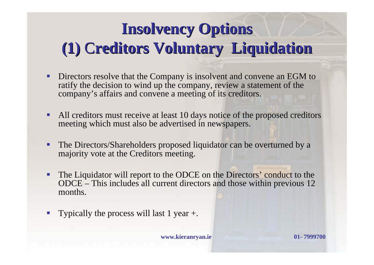#### **Insolvency Options Insolvency Options (1)** C**reditors Voluntary Liquidation reditors Voluntary Liquidation**

- F Directors resolve that the Company is insolvent and convene an EGM to ratify the decision to wind up the company, review a statement of the company's affairs and convene a meeting of its creditors.
- $\blacksquare$  All creditors must receive at least 10 days notice of the proposed creditors meeting which must also be advertised in newspapers.
- $\blacksquare$  The Directors/Shareholders proposed liquidator can be overturned by a majority vote at the Creditors meeting.
- $\blacksquare$  The Liquidator will report to the ODCE on the Directors' conduct to the ODCE – This includes all current directors and those within previous 12 months.
- $\mathcal{L}_{\mathcal{A}}$ Typically the process will last 1 year +.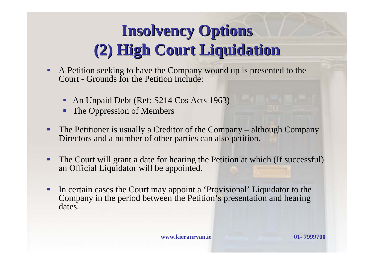#### **Insolvency Options Insolvency Options (2) High Court Liquidation (2) High Court Liquidation**

- **Service Service**  A Petition seeking to have the Company wound up is presented to the Court - Grounds for the Petition Include:
	- Ξ An Unpaid Debt (Ref: S214 Cos Acts 1963)
	- $\blacksquare$ The Oppression of Members
- $\blacksquare$  The Petitioner is usually a Creditor of the Company – although Company Directors and a number of other parties can also petition.
- Ξ The Court will grant a date for hearing the Petition at which (If successful) an Official Liquidator will be appointed.
- $\blacksquare$  In certain cases the Court may appoint a 'Provisional' Liquidator to the Company in the period between the Petition's presentation and hearing dates.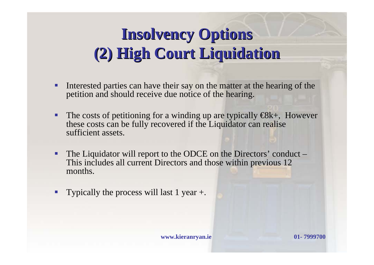#### **Insolvency Options Insolvency Options (2) High Court Liquidation (2) High Court Liquidation**

- $\blacksquare$  Interested parties can have their say on the matter at the hearing of the petition and should receive due notice of the hearing.
- $\blacksquare$ The costs of petitioning for a winding up are typically  $\bigoplus k$ +, However these costs can be fully recovered if the Liquidator can realise sufficient assets.
- $\blacksquare$  The Liquidator will report to the ODCE on the Directors' conduct – This includes all current Directors and those within previous 12 months.
- $\overline{\phantom{a}}$ Typically the process will last 1 year +.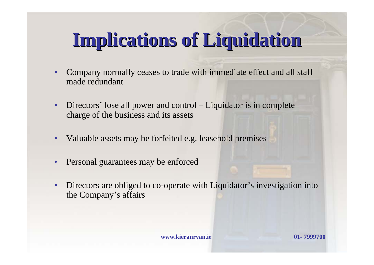# **Implications of Liquidation Implications of Liquidation**

- Company normally ceases to trade with immediate effect and all staff made redundant
- Directors' lose all power and control Liquidator is in complete charge of the business and its assets
- Valuable assets may be forfeited e.g. leasehold premises
- Personal guarantees may be enforced
- Directors are obliged to co-operate with Liquidator's investigation into the Company's affairs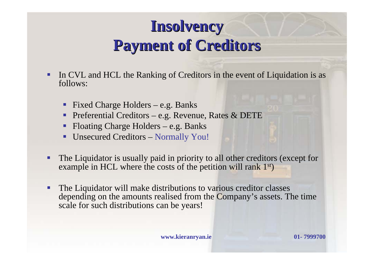#### **Insolvency Insolvency Payment of Creditors Payment of Creditors**

- Ξ In CVL and HCL the Ranking of Creditors in the event of Liquidation is as follows:
	- П Fixed Charge Holders – e.g. Banks
	- Ξ Preferential Creditors – e.g. Revenue, Rates & DETE
	- Ξ Floating Charge Holders – e.g. Banks
	- ш Unsecured Creditors – Normally You!
- **Service Service**  The Liquidator is usually paid in priority to all other creditors (except for example in HCL where the costs of the petition will rank 1<sup>st</sup>)
- $\blacksquare$  The Liquidator will make distributions to various creditor classes depending on the amounts realised from the Company's assets. The time scale for such distributions can be years!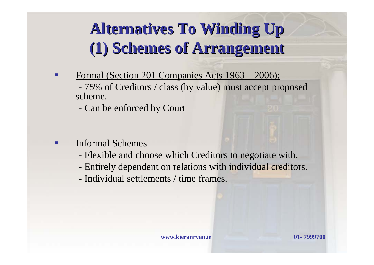#### **Alternatives To Winding Up Alternatives To Winding Up (1) Schemes of Arrangement (1) Schemes of Arrangement**

п Formal (Section 201 Companies Acts 1963 – 2006):

- 75% of Creditors / class (by value) must accept proposed scheme.

- Can be enforced by Court

- п Informal Schemes
	- Flexible and choose which Creditors to negotiate with.
	- Entirely dependent on relations with individual creditors.
	- Individual settlements / time frames.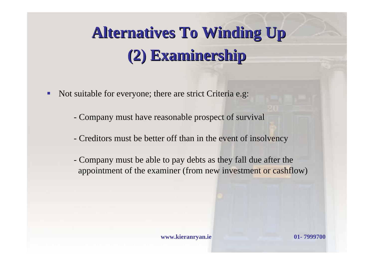### **Alternatives To Winding Up Alternatives To Winding Up (2) Examinership (2) Examinership**

- **Service Service**  Not suitable for everyone; there are strict Criteria e.g:
	- Company must have reasonable prospect of survival
	- Creditors must be better off than in the event of insolvency
	- Company must be able to pay debts as they fall due after the appointment of the examiner (from new investment or cashflow)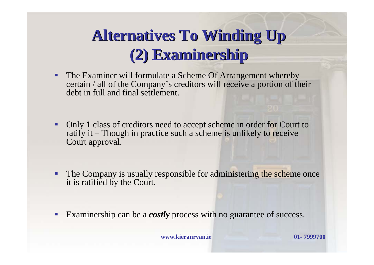#### **Alternatives To Winding Up Alternatives To Winding Up (2) Examinership (2) Examinership**

- $\blacksquare$  The Examiner will formulate a Scheme Of Arrangement whereby certain / all of the Company's creditors will receive a portion of their debt in full and final settlement.
- П Only **1** class of creditors need to accept scheme in order for Court to ratify it – Though in practice such a scheme is unlikely to receive Court approval.
- $\blacksquare$  The Company is usually responsible for administering the scheme once it is ratified by the Court.
- $\mathcal{C}^{\mathcal{A}}$ Examinership can be a *costly* process with no guarantee of success.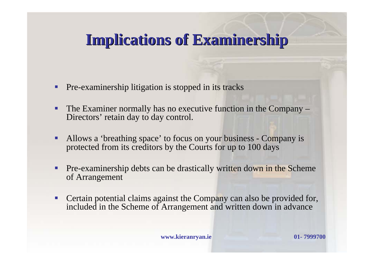#### **Implications of Examinership Implications of Examinership**

- П Pre-examinership litigation is stopped in its tracks
- Е The Examiner normally has no executive function in the Company – Directors' retain day to day control.
- $\blacksquare$  Allows a 'breathing space' to focus on your business - Company is protected from its creditors by the Courts for up to 100 days
- $\blacksquare$  Pre-examinership debts can be drastically written down in the Scheme of Arrangement
- $\mathcal{L}_{\mathcal{A}}$  Certain potential claims against the Company can also be provided for, included in the Scheme of Arrangement and written down in advance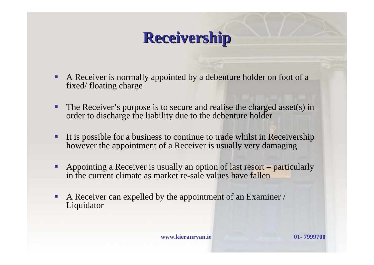#### **Receivership Receivership**

- $\blacksquare$  A Receiver is normally appointed by a debenture holder on foot of a fixed/ floating charge
- $\blacksquare$  The Receiver's purpose is to secure and realise the charged asset(s) in order to discharge the liability due to the debenture holder
- П It is possible for a business to continue to trade whilst in Receivership however the appointment of a Receiver is usually very damaging
- $\blacksquare$  Appointing a Receiver is usually an option of last resort – particularly in the current climate as market re-sale values have fallen
- $\Box$  . A Receiver can expelled by the appointment of an Examiner / Liquidator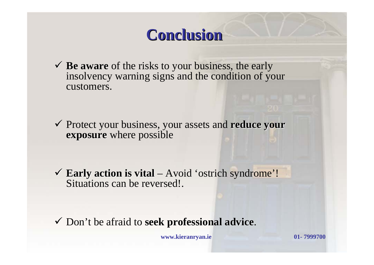#### **Conclusion Conclusion**

9 **Be aware Be aware** of the risks to your business, the early insolvency warning signs and the condition of your customers.

Protect your business, your assets and **reduce your exposure exposure** where possible

9 **Early action is vital Early action is vital** – Avoid 'ostrich syndrome'! Situations can be reversed!.

9 Don't be afraid to **seek professional advice seek professional advice**.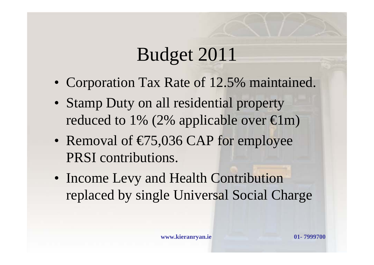### Budget 2011

- Corporation Tax Rate of 12.5% maintained.
- Stamp Duty on all residential property reduced to 1% (2% applicable over  $\in$ lm)
- Removal of  $\epsilon$ 75,036 CAP for employee PRSI contributions.
- Income Levy and Health Contribution replaced by single Universal Social Charge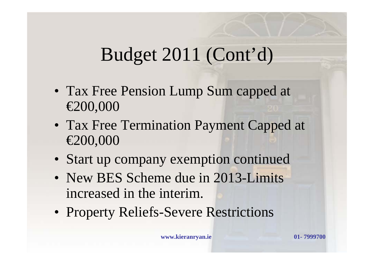## Budget 2011 (Cont'd)

- Tax Free Pension Lump Sum capped at €200,000
- Tax Free Termination Payment Capped at €200,000
- Start up company exemption continued
- New BES Scheme due in 2013-Limits increased in the interim.
- Property Reliefs-Severe Restrictions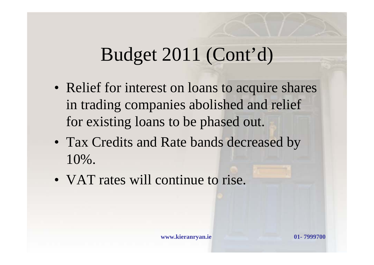#### Budget 2011 (Cont'd)

- Relief for interest on loans to acquire shares in trading companies abolished and relief for existing loans to be phased out.
- Tax Credits and Rate bands decreased by 10%.
- VAT rates will continue to rise.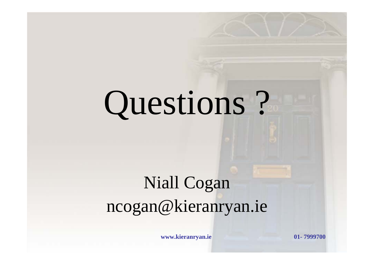# Questions ?

# Niall Cogan ncogan@kieranryan.ie